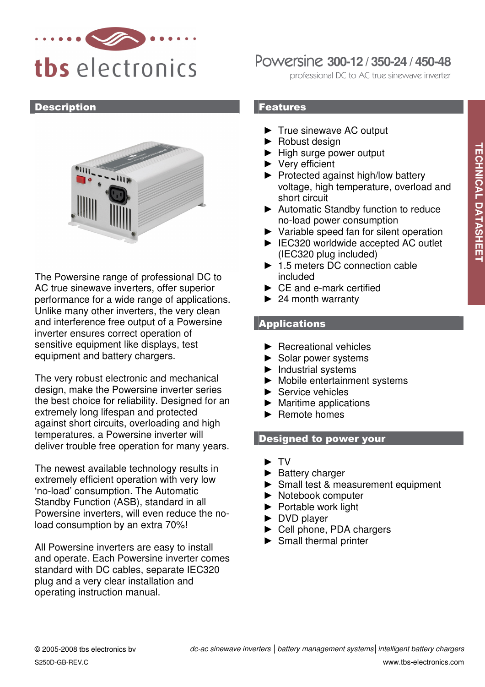

### **Description**



The Powersine range of professional DC to AC true sinewave inverters, offer superior performance for a wide range of applications. Unlike many other inverters, the very clean and interference free output of a Powersine inverter ensures correct operation of sensitive equipment like displays, test equipment and battery chargers.

The very robust electronic and mechanical design, make the Powersine inverter series the best choice for reliability. Designed for an extremely long lifespan and protected against short circuits, overloading and high temperatures, a Powersine inverter will deliver trouble free operation for many years.

The newest available technology results in extremely efficient operation with very low 'no-load' consumption. The Automatic Standby Function (ASB), standard in all Powersine inverters, will even reduce the noload consumption by an extra 70%!

All Powersine inverters are easy to install and operate. Each Powersine inverter comes standard with DC cables, separate IEC320 plug and a very clear installation and operating instruction manual.

# Powersine **300-12 / 350-24 / 450-48**

professional DC to AC true sinewave inverter

## Features

- ► True sinewave AC output
- ► Robust design
- ► High surge power output
- ► Very efficient
- ► Protected against high/low battery voltage, high temperature, overload and short circuit
- ► Automatic Standby function to reduce no-load power consumption
- ► Variable speed fan for silent operation
- ► IEC320 worldwide accepted AC outlet (IEC320 plug included)
- ► 1.5 meters DC connection cable included
- ► CE and e-mark certified
- $\blacktriangleright$  24 month warranty

# **Applications**

- ► Recreational vehicles
- ► Solar power systems
- ► Industrial systems
- ► Mobile entertainment systems
- ► Service vehicles
- $\blacktriangleright$  Maritime applications
- ► Remote homes

## Designed to power your

- ► TV
- ► Battery charger
- ► Small test & measurement equipment
- ► Notebook computer
- ► Portable work light
- ► DVD player
- ► Cell phone, PDA chargers
- ► Small thermal printer